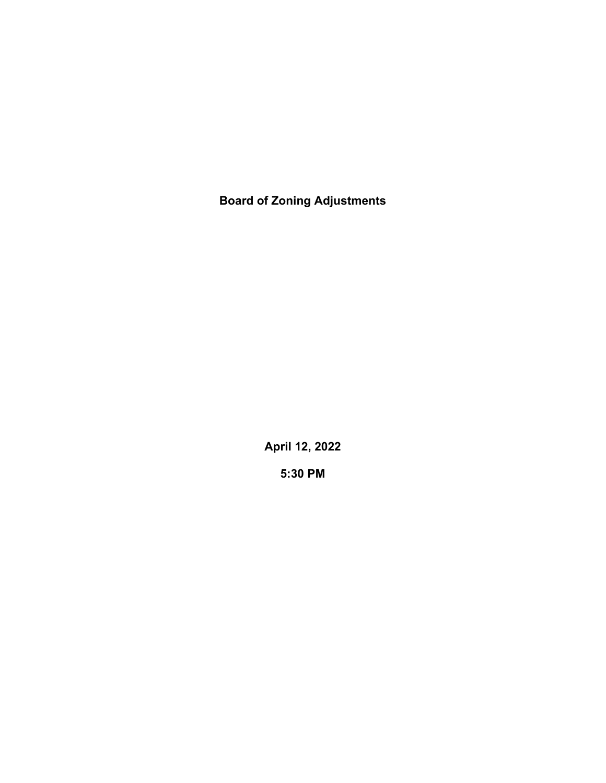**Board of Zoning Adjustments**

**April 12, 2022**

**5:30 PM**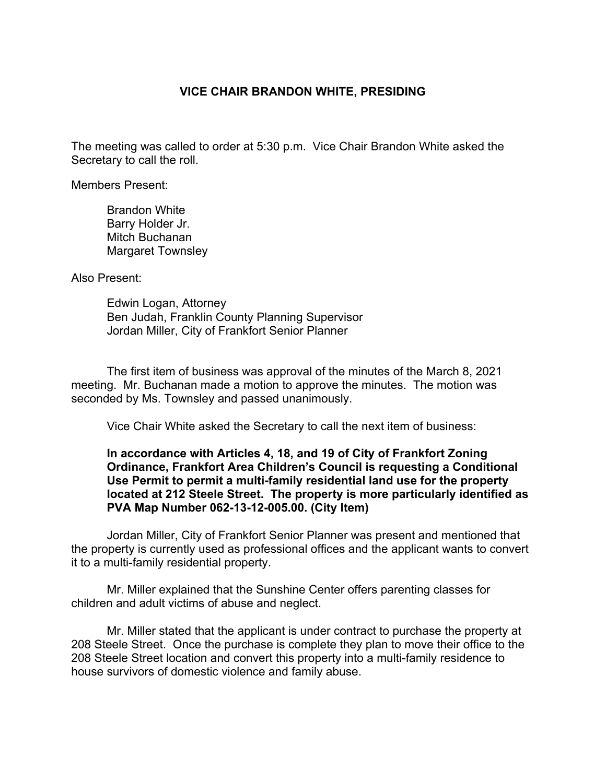## **VICE CHAIR BRANDON WHITE, PRESIDING**

The meeting was called to order at 5:30 p.m. Vice Chair Brandon White asked the Secretary to call the roll.

Members Present:

Brandon White Barry Holder Jr. Mitch Buchanan Margaret Townsley

Also Present:

Edwin Logan, Attorney Ben Judah, Franklin County Planning Supervisor Jordan Miller, City of Frankfort Senior Planner

The first item of business was approval of the minutes of the March 8, 2021 meeting. Mr. Buchanan made a motion to approve the minutes. The motion was seconded by Ms. Townsley and passed unanimously.

Vice Chair White asked the Secretary to call the next item of business:

## **In accordance with Articles 4, 18, and 19 of City of Frankfort Zoning Ordinance, Frankfort Area Children's Council is requesting a Conditional Use Permit to permit a multi-family residential land use for the property located at 212 Steele Street. The property is more particularly identified as PVA Map Number 062-13-12-005.00. (City Item)**

Jordan Miller, City of Frankfort Senior Planner was present and mentioned that the property is currently used as professional offices and the applicant wants to convert it to a multi-family residential property.

Mr. Miller explained that the Sunshine Center offers parenting classes for children and adult victims of abuse and neglect.

Mr. Miller stated that the applicant is under contract to purchase the property at 208 Steele Street. Once the purchase is complete they plan to move their office to the 208 Steele Street location and convert this property into a multi-family residence to house survivors of domestic violence and family abuse.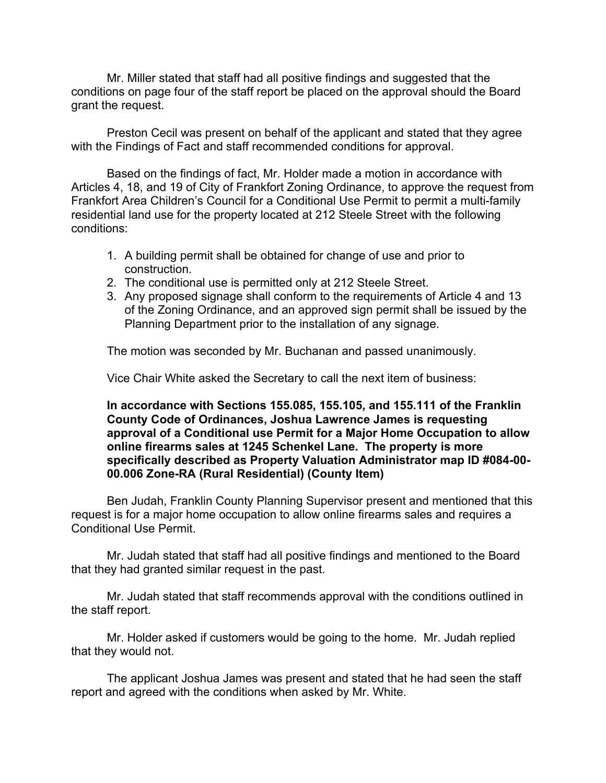Mr. Miller stated that staff had all positive findings and suggested that the conditions on page four of the staff report be placed on the approval should the Board grant the request.

Preston Cecil was present on behalf of the applicant and stated that they agree with the Findings of Fact and staff recommended conditions for approval.

Based on the findings of fact, Mr. Holder made a motion in accordance with Articles 4, 18, and 19 of City of Frankfort Zoning Ordinance, to approve the request from Frankfort Area Children's Council for a Conditional Use Permit to permit a multi-family residential land use for the property located at 212 Steele Street with the following conditions:

- 1. A building permit shall be obtained for change of use and prior to construction.
- 2. The conditional use is permitted only at 212 Steele Street.
- 3. Any proposed signage shall conform to the requirements of Article 4 and 13 of the Zoning Ordinance, and an approved sign permit shall be issued by the Planning Department prior to the installation of any signage.

The motion was seconded by Mr. Buchanan and passed unanimously.

Vice Chair White asked the Secretary to call the next item of business:

**In accordance with Sections 155.085, 155.105, and 155.111 of the Franklin County Code of Ordinances, Joshua Lawrence James is requesting approval of a Conditional use Permit for a Major Home Occupation to allow online firearms sales at 1245 Schenkel Lane. The property is more specifically described as Property Valuation Administrator map ID #084-00- 00.006 Zone-RA (Rural Residential) (County Item)**

Ben Judah, Franklin County Planning Supervisor present and mentioned that this request is for a major home occupation to allow online firearms sales and requires a Conditional Use Permit.

Mr. Judah stated that staff had all positive findings and mentioned to the Board that they had granted similar request in the past.

Mr. Judah stated that staff recommends approval with the conditions outlined in the staff report.

Mr. Holder asked if customers would be going to the home. Mr. Judah replied that they would not.

The applicant Joshua James was present and stated that he had seen the staff report and agreed with the conditions when asked by Mr. White.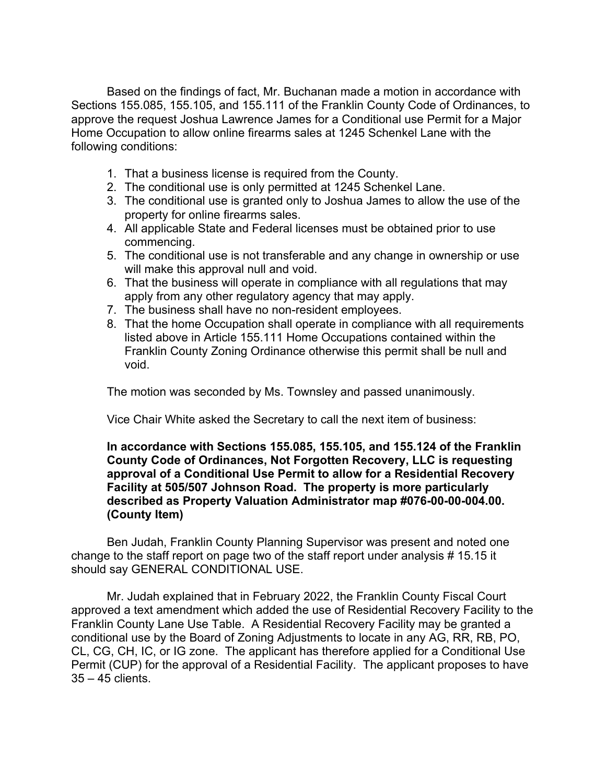Based on the findings of fact, Mr. Buchanan made a motion in accordance with Sections 155.085, 155.105, and 155.111 of the Franklin County Code of Ordinances, to approve the request Joshua Lawrence James for a Conditional use Permit for a Major Home Occupation to allow online firearms sales at 1245 Schenkel Lane with the following conditions:

- 1. That a business license is required from the County.
- 2. The conditional use is only permitted at 1245 Schenkel Lane.
- 3. The conditional use is granted only to Joshua James to allow the use of the property for online firearms sales.
- 4. All applicable State and Federal licenses must be obtained prior to use commencing.
- 5. The conditional use is not transferable and any change in ownership or use will make this approval null and void.
- 6. That the business will operate in compliance with all regulations that may apply from any other regulatory agency that may apply.
- 7. The business shall have no non-resident employees.
- 8. That the home Occupation shall operate in compliance with all requirements listed above in Article 155.111 Home Occupations contained within the Franklin County Zoning Ordinance otherwise this permit shall be null and void.

The motion was seconded by Ms. Townsley and passed unanimously.

Vice Chair White asked the Secretary to call the next item of business:

## **In accordance with Sections 155.085, 155.105, and 155.124 of the Franklin County Code of Ordinances, Not Forgotten Recovery, LLC is requesting approval of a Conditional Use Permit to allow for a Residential Recovery Facility at 505/507 Johnson Road. The property is more particularly described as Property Valuation Administrator map #076-00-00-004.00. (County Item)**

Ben Judah, Franklin County Planning Supervisor was present and noted one change to the staff report on page two of the staff report under analysis # 15.15 it should say GENERAL CONDITIONAL USE.

Mr. Judah explained that in February 2022, the Franklin County Fiscal Court approved a text amendment which added the use of Residential Recovery Facility to the Franklin County Lane Use Table. A Residential Recovery Facility may be granted a conditional use by the Board of Zoning Adjustments to locate in any AG, RR, RB, PO, CL, CG, CH, IC, or IG zone. The applicant has therefore applied for a Conditional Use Permit (CUP) for the approval of a Residential Facility. The applicant proposes to have 35 – 45 clients.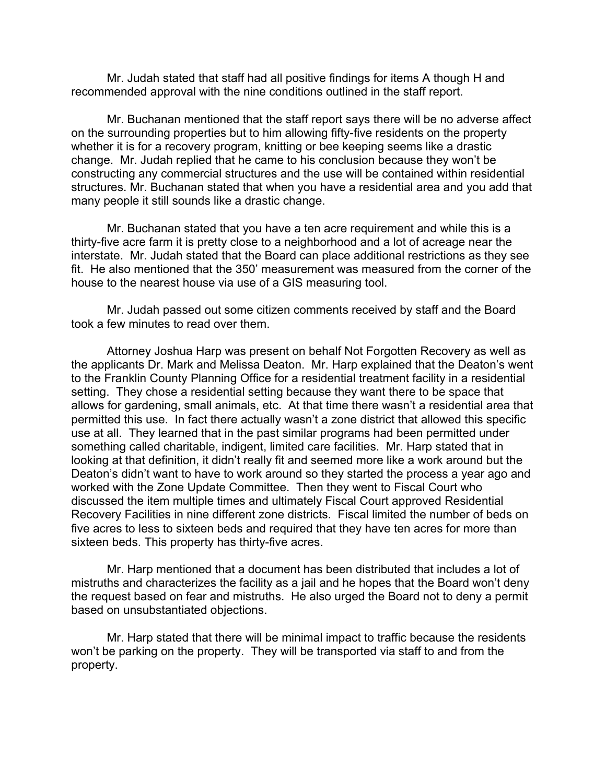Mr. Judah stated that staff had all positive findings for items A though H and recommended approval with the nine conditions outlined in the staff report.

Mr. Buchanan mentioned that the staff report says there will be no adverse affect on the surrounding properties but to him allowing fifty-five residents on the property whether it is for a recovery program, knitting or bee keeping seems like a drastic change. Mr. Judah replied that he came to his conclusion because they won't be constructing any commercial structures and the use will be contained within residential structures. Mr. Buchanan stated that when you have a residential area and you add that many people it still sounds like a drastic change.

Mr. Buchanan stated that you have a ten acre requirement and while this is a thirty-five acre farm it is pretty close to a neighborhood and a lot of acreage near the interstate. Mr. Judah stated that the Board can place additional restrictions as they see fit. He also mentioned that the 350' measurement was measured from the corner of the house to the nearest house via use of a GIS measuring tool.

Mr. Judah passed out some citizen comments received by staff and the Board took a few minutes to read over them.

Attorney Joshua Harp was present on behalf Not Forgotten Recovery as well as the applicants Dr. Mark and Melissa Deaton. Mr. Harp explained that the Deaton's went to the Franklin County Planning Office for a residential treatment facility in a residential setting. They chose a residential setting because they want there to be space that allows for gardening, small animals, etc. At that time there wasn't a residential area that permitted this use. In fact there actually wasn't a zone district that allowed this specific use at all. They learned that in the past similar programs had been permitted under something called charitable, indigent, limited care facilities. Mr. Harp stated that in looking at that definition, it didn't really fit and seemed more like a work around but the Deaton's didn't want to have to work around so they started the process a year ago and worked with the Zone Update Committee. Then they went to Fiscal Court who discussed the item multiple times and ultimately Fiscal Court approved Residential Recovery Facilities in nine different zone districts. Fiscal limited the number of beds on five acres to less to sixteen beds and required that they have ten acres for more than sixteen beds. This property has thirty-five acres.

Mr. Harp mentioned that a document has been distributed that includes a lot of mistruths and characterizes the facility as a jail and he hopes that the Board won't deny the request based on fear and mistruths. He also urged the Board not to deny a permit based on unsubstantiated objections.

Mr. Harp stated that there will be minimal impact to traffic because the residents won't be parking on the property. They will be transported via staff to and from the property.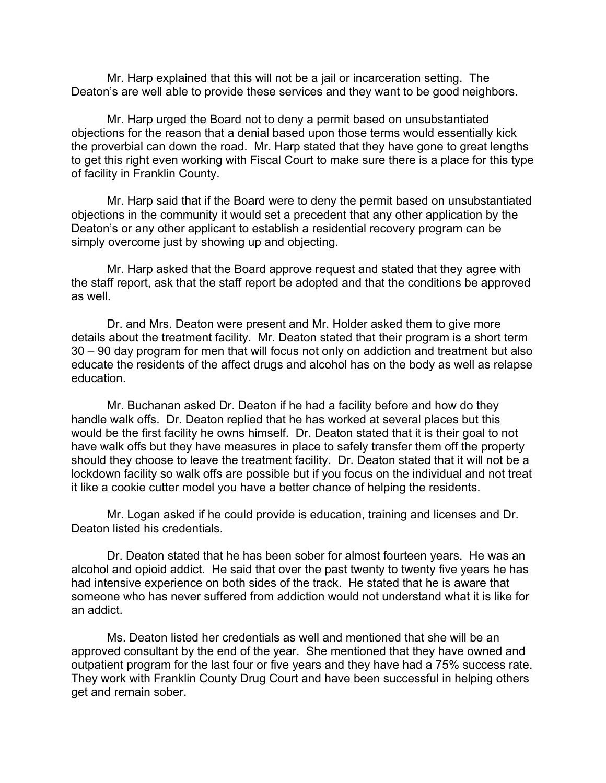Mr. Harp explained that this will not be a jail or incarceration setting. The Deaton's are well able to provide these services and they want to be good neighbors.

Mr. Harp urged the Board not to deny a permit based on unsubstantiated objections for the reason that a denial based upon those terms would essentially kick the proverbial can down the road. Mr. Harp stated that they have gone to great lengths to get this right even working with Fiscal Court to make sure there is a place for this type of facility in Franklin County.

Mr. Harp said that if the Board were to deny the permit based on unsubstantiated objections in the community it would set a precedent that any other application by the Deaton's or any other applicant to establish a residential recovery program can be simply overcome just by showing up and objecting.

Mr. Harp asked that the Board approve request and stated that they agree with the staff report, ask that the staff report be adopted and that the conditions be approved as well.

Dr. and Mrs. Deaton were present and Mr. Holder asked them to give more details about the treatment facility. Mr. Deaton stated that their program is a short term 30 – 90 day program for men that will focus not only on addiction and treatment but also educate the residents of the affect drugs and alcohol has on the body as well as relapse education.

Mr. Buchanan asked Dr. Deaton if he had a facility before and how do they handle walk offs. Dr. Deaton replied that he has worked at several places but this would be the first facility he owns himself. Dr. Deaton stated that it is their goal to not have walk offs but they have measures in place to safely transfer them off the property should they choose to leave the treatment facility. Dr. Deaton stated that it will not be a lockdown facility so walk offs are possible but if you focus on the individual and not treat it like a cookie cutter model you have a better chance of helping the residents.

Mr. Logan asked if he could provide is education, training and licenses and Dr. Deaton listed his credentials.

Dr. Deaton stated that he has been sober for almost fourteen years. He was an alcohol and opioid addict. He said that over the past twenty to twenty five years he has had intensive experience on both sides of the track. He stated that he is aware that someone who has never suffered from addiction would not understand what it is like for an addict.

Ms. Deaton listed her credentials as well and mentioned that she will be an approved consultant by the end of the year. She mentioned that they have owned and outpatient program for the last four or five years and they have had a 75% success rate. They work with Franklin County Drug Court and have been successful in helping others get and remain sober.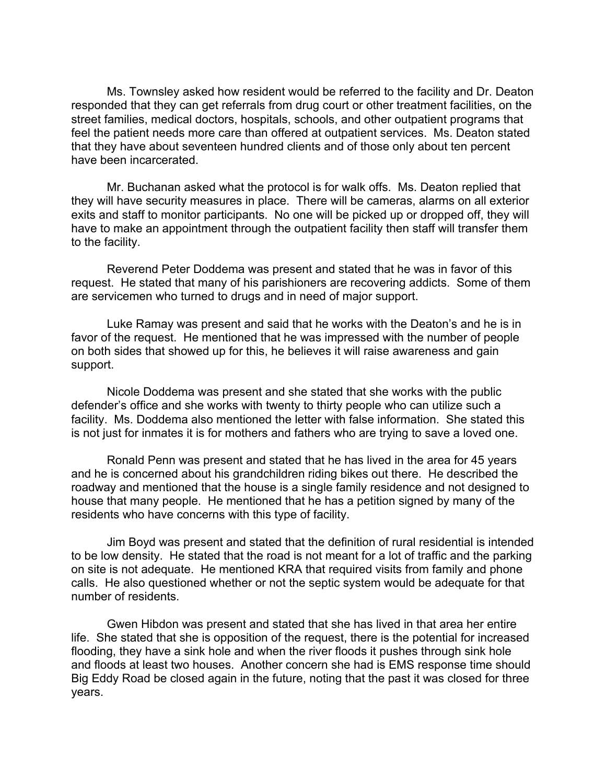Ms. Townsley asked how resident would be referred to the facility and Dr. Deaton responded that they can get referrals from drug court or other treatment facilities, on the street families, medical doctors, hospitals, schools, and other outpatient programs that feel the patient needs more care than offered at outpatient services. Ms. Deaton stated that they have about seventeen hundred clients and of those only about ten percent have been incarcerated.

Mr. Buchanan asked what the protocol is for walk offs. Ms. Deaton replied that they will have security measures in place. There will be cameras, alarms on all exterior exits and staff to monitor participants. No one will be picked up or dropped off, they will have to make an appointment through the outpatient facility then staff will transfer them to the facility.

Reverend Peter Doddema was present and stated that he was in favor of this request. He stated that many of his parishioners are recovering addicts. Some of them are servicemen who turned to drugs and in need of major support.

Luke Ramay was present and said that he works with the Deaton's and he is in favor of the request. He mentioned that he was impressed with the number of people on both sides that showed up for this, he believes it will raise awareness and gain support.

Nicole Doddema was present and she stated that she works with the public defender's office and she works with twenty to thirty people who can utilize such a facility. Ms. Doddema also mentioned the letter with false information. She stated this is not just for inmates it is for mothers and fathers who are trying to save a loved one.

Ronald Penn was present and stated that he has lived in the area for 45 years and he is concerned about his grandchildren riding bikes out there. He described the roadway and mentioned that the house is a single family residence and not designed to house that many people. He mentioned that he has a petition signed by many of the residents who have concerns with this type of facility.

Jim Boyd was present and stated that the definition of rural residential is intended to be low density. He stated that the road is not meant for a lot of traffic and the parking on site is not adequate. He mentioned KRA that required visits from family and phone calls. He also questioned whether or not the septic system would be adequate for that number of residents.

Gwen Hibdon was present and stated that she has lived in that area her entire life. She stated that she is opposition of the request, there is the potential for increased flooding, they have a sink hole and when the river floods it pushes through sink hole and floods at least two houses. Another concern she had is EMS response time should Big Eddy Road be closed again in the future, noting that the past it was closed for three years.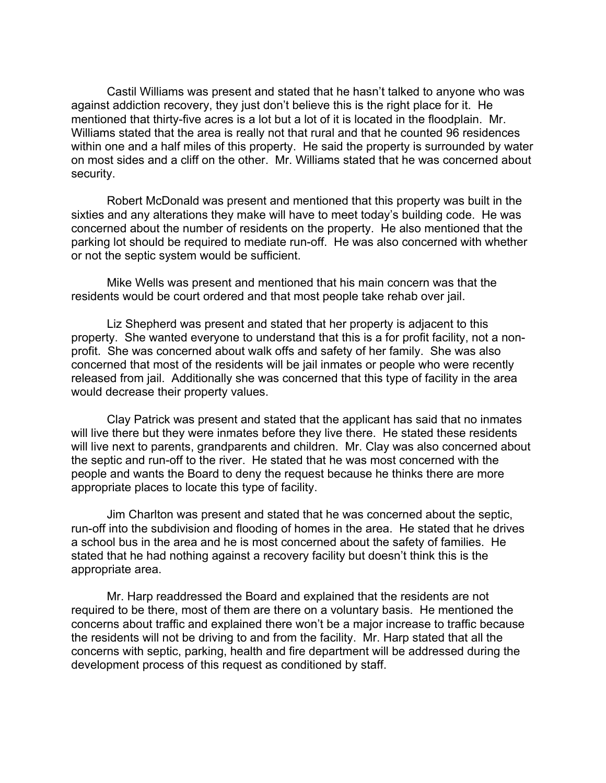Castil Williams was present and stated that he hasn't talked to anyone who was against addiction recovery, they just don't believe this is the right place for it. He mentioned that thirty-five acres is a lot but a lot of it is located in the floodplain. Mr. Williams stated that the area is really not that rural and that he counted 96 residences within one and a half miles of this property. He said the property is surrounded by water on most sides and a cliff on the other. Mr. Williams stated that he was concerned about security.

Robert McDonald was present and mentioned that this property was built in the sixties and any alterations they make will have to meet today's building code. He was concerned about the number of residents on the property. He also mentioned that the parking lot should be required to mediate run-off. He was also concerned with whether or not the septic system would be sufficient.

Mike Wells was present and mentioned that his main concern was that the residents would be court ordered and that most people take rehab over jail.

Liz Shepherd was present and stated that her property is adjacent to this property. She wanted everyone to understand that this is a for profit facility, not a nonprofit. She was concerned about walk offs and safety of her family. She was also concerned that most of the residents will be jail inmates or people who were recently released from jail. Additionally she was concerned that this type of facility in the area would decrease their property values.

Clay Patrick was present and stated that the applicant has said that no inmates will live there but they were inmates before they live there. He stated these residents will live next to parents, grandparents and children. Mr. Clay was also concerned about the septic and run-off to the river. He stated that he was most concerned with the people and wants the Board to deny the request because he thinks there are more appropriate places to locate this type of facility.

Jim Charlton was present and stated that he was concerned about the septic, run-off into the subdivision and flooding of homes in the area. He stated that he drives a school bus in the area and he is most concerned about the safety of families. He stated that he had nothing against a recovery facility but doesn't think this is the appropriate area.

Mr. Harp readdressed the Board and explained that the residents are not required to be there, most of them are there on a voluntary basis. He mentioned the concerns about traffic and explained there won't be a major increase to traffic because the residents will not be driving to and from the facility. Mr. Harp stated that all the concerns with septic, parking, health and fire department will be addressed during the development process of this request as conditioned by staff.